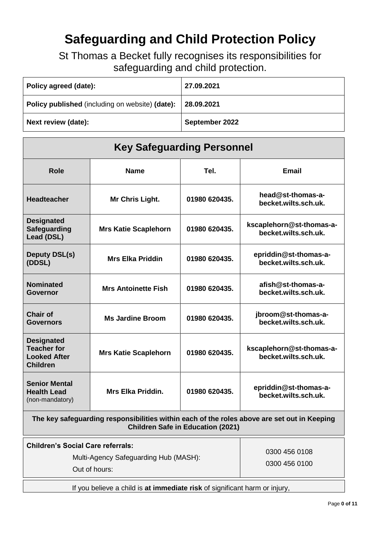# **Safeguarding and Child Protection Policy**

St Thomas a Becket fully recognises its responsibilities for safeguarding and child protection.

| Policy agreed (date):                           | 27.09.2021     |
|-------------------------------------------------|----------------|
| Policy published (including on website) (date): | 28.09.2021     |
| Next review (date):                             | September 2022 |

| <b>Key Safeguarding Personnel</b>                                                                                                       |                             |                                |                                                  |  |
|-----------------------------------------------------------------------------------------------------------------------------------------|-----------------------------|--------------------------------|--------------------------------------------------|--|
| <b>Role</b>                                                                                                                             | <b>Name</b>                 | Tel.                           | <b>Email</b>                                     |  |
| <b>Headteacher</b>                                                                                                                      | Mr Chris Light.             | 01980 620435.                  | head@st-thomas-a-<br>becket.wilts.sch.uk.        |  |
| <b>Designated</b><br><b>Safeguarding</b><br>Lead (DSL)                                                                                  | <b>Mrs Katie Scaplehorn</b> | 01980 620435.                  | kscaplehorn@st-thomas-a-<br>becket.wilts.sch.uk. |  |
| <b>Deputy DSL(s)</b><br>(DDSL)                                                                                                          | <b>Mrs Elka Priddin</b>     | 01980 620435.                  | epriddin@st-thomas-a-<br>becket.wilts.sch.uk.    |  |
| <b>Nominated</b><br><b>Governor</b>                                                                                                     | <b>Mrs Antoinette Fish</b>  | 01980 620435.                  | afish@st-thomas-a-<br>becket.wilts.sch.uk.       |  |
| <b>Chair of</b><br><b>Governors</b>                                                                                                     | <b>Ms Jardine Broom</b>     | 01980 620435.                  | jbroom@st-thomas-a-<br>becket.wilts.sch.uk.      |  |
| <b>Designated</b><br><b>Teacher for</b><br><b>Looked After</b><br><b>Children</b>                                                       | <b>Mrs Katie Scaplehorn</b> | 01980 620435.                  | kscaplehorn@st-thomas-a-<br>becket.wilts.sch.uk. |  |
| <b>Senior Mental</b><br><b>Health Lead</b><br>(non-mandatory)                                                                           | <b>Mrs Elka Priddin.</b>    | 01980 620435.                  | epriddin@st-thomas-a-<br>becket.wilts.sch.uk.    |  |
| The key safeguarding responsibilities within each of the roles above are set out in Keeping<br><b>Children Safe in Education (2021)</b> |                             |                                |                                                  |  |
| <b>Children's Social Care referrals:</b><br>Multi-Agency Safeguarding Hub (MASH):<br>Out of hours:                                      |                             | 0300 456 0108<br>0300 456 0100 |                                                  |  |
| If you believe a child is at immediate risk of significant harm or injury,                                                              |                             |                                |                                                  |  |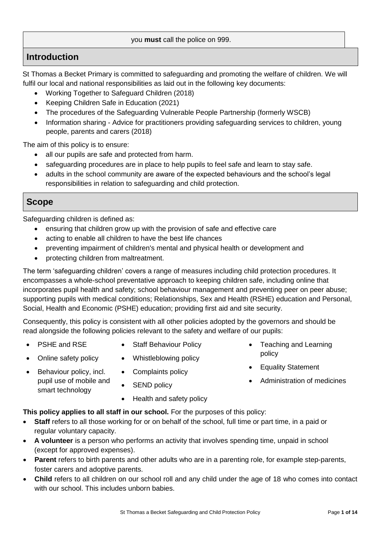protecting children from maltreatment.

The term 'safeguarding children' covers a range of measures including child protection procedures. It encompasses a whole-school preventative approach to keeping children safe, including online that incorporates pupil health and safety; school behaviour management and preventing peer on peer abuse; supporting pupils with medical conditions; Relationships, Sex and Health (RSHE) education and Personal, Social, Health and Economic (PSHE) education; providing first aid and site security.

Consequently, this policy is consistent with all other policies adopted by the governors and should be read alongside the following policies relevant to the safety and welfare of our pupils:

- PSHE and RSE
- Online safety policy
- Behaviour policy, incl. pupil use of mobile and smart technology
- Complaints policy
- SEND policy
- Health and safety policy

• Staff Behaviour Policy

• Whistleblowing policy

#### **This policy applies to all staff in our school.** For the purposes of this policy:

- **Staff** refers to all those working for or on behalf of the school, full time or part time, in a paid or regular voluntary capacity.
- **A volunteer** is a person who performs an activity that involves spending time, unpaid in school (except for approved expenses).
- **Parent** refers to birth parents and other adults who are in a parenting role, for example step-parents, foster carers and adoptive parents.
- **Child** refers to all children on our school roll and any child under the age of 18 who comes into contact with our school. This includes unborn babies.

# you **must** call the police on 999.

St Thomas a Becket Primary is committed to safeguarding and promoting the welfare of children. We will fulfil our local and national responsibilities as laid out in the following key documents:

- Working Together to Safeguard Children (2018)
- Keeping Children Safe in Education (2021)
- [The procedures of the](http://www.proceduresonline.com/birmingham/scb/) Safeguarding Vulnerable People Partnership (formerly WSCB)
- Information sharing Advice for practitioners providing safeguarding services to children, young people, parents and carers (2018)

The aim of this policy is to ensure:

Safeguarding children is defined as:

**Introduction**

- all our pupils are safe and protected from harm.
- safeguarding procedures are in place to help pupils to feel safe and learn to stay safe.
- adults in the school community are aware of the expected behaviours and the school's legal responsibilities in relation to safeguarding and child protection.

## **Scope**

ensuring that children grow up with the provision of safe and effective care

- acting to enable all children to have the best life chances
- preventing impairment of children's mental and physical health or development and
- 

- 
- 

Equality Statement

• Teaching and Learning

policy

Administration of medicines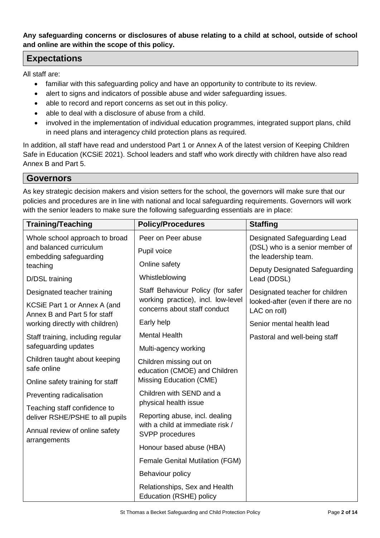**Any safeguarding concerns or disclosures of abuse relating to a child at school, outside of school and online are within the scope of this policy.**

## **Expectations**

All staff are:

- familiar with this safeguarding policy and have an opportunity to contribute to its review.
- alert to signs and indicators of possible abuse and wider safeguarding issues.
- able to record and report concerns as set out in this policy.
- able to deal with a disclosure of abuse from a child.
- involved in the implementation of individual education programmes, integrated support plans, child in need plans and interagency child protection plans as required.

In addition, all staff have read and understood Part 1 or Annex A of the latest version of Keeping Children Safe in Education (KCSiE 2021). School leaders and staff who work directly with children have also read Annex B and Part 5.

#### **Governors**

As key strategic decision makers and vision setters for the school, the governors will make sure that our policies and procedures are in line with national and local safeguarding requirements. Governors will work with the senior leaders to make sure the following safeguarding essentials are in place:

| <b>Training/Teaching</b>                                                                        | <b>Policy/Procedures</b>                                           | <b>Staffing</b>                                                                         |
|-------------------------------------------------------------------------------------------------|--------------------------------------------------------------------|-----------------------------------------------------------------------------------------|
| Whole school approach to broad                                                                  | Peer on Peer abuse                                                 | Designated Safeguarding Lead<br>(DSL) who is a senior member of<br>the leadership team. |
| and balanced curriculum<br>embedding safeguarding                                               | Pupil voice                                                        |                                                                                         |
| teaching                                                                                        | Online safety                                                      | Deputy Designated Safeguarding<br>Lead (DDSL)                                           |
| D/DSL training                                                                                  | Whistleblowing                                                     |                                                                                         |
| Designated teacher training                                                                     | Staff Behaviour Policy (for safer                                  | Designated teacher for children<br>looked-after (even if there are no<br>LAC on roll)   |
| KCSiE Part 1 or Annex A (and<br>Annex B and Part 5 for staff<br>working directly with children) | working practice), incl. low-level<br>concerns about staff conduct |                                                                                         |
|                                                                                                 | Early help                                                         | Senior mental health lead                                                               |
| Staff training, including regular<br>safeguarding updates                                       | <b>Mental Health</b>                                               | Pastoral and well-being staff                                                           |
|                                                                                                 | Multi-agency working                                               |                                                                                         |
| Children taught about keeping<br>safe online                                                    | Children missing out on<br>education (CMOE) and Children           |                                                                                         |
| Online safety training for staff                                                                | Missing Education (CME)                                            |                                                                                         |
| Preventing radicalisation                                                                       | Children with SEND and a                                           |                                                                                         |
| Teaching staff confidence to                                                                    | physical health issue                                              |                                                                                         |
| deliver RSHE/PSHE to all pupils                                                                 | Reporting abuse, incl. dealing<br>with a child at immediate risk / |                                                                                         |
| Annual review of online safety<br>arrangements                                                  | SVPP procedures                                                    |                                                                                         |
|                                                                                                 | Honour based abuse (HBA)                                           |                                                                                         |
|                                                                                                 | <b>Female Genital Mutilation (FGM)</b>                             |                                                                                         |
|                                                                                                 | Behaviour policy                                                   |                                                                                         |
|                                                                                                 | Relationships, Sex and Health<br>Education (RSHE) policy           |                                                                                         |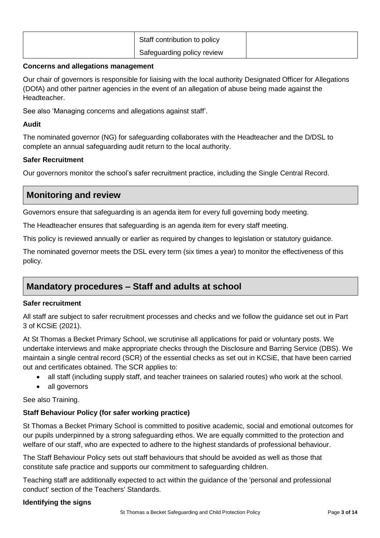| Staff contribution to policy |  |
|------------------------------|--|
| Safeguarding policy review   |  |

#### **Concerns and allegations management**

Our chair of governors is responsible for liaising with the local authority Designated Officer for Allegations (DOfA) and other partner agencies in the event of an allegation of abuse being made against the Headteacher.

See also 'Managing concerns and allegations against staff'.

## **Audit**

The nominated governor (NG) for safeguarding collaborates with the Headteacher and the D/DSL to complete an annual safeguarding audit return to the local authority.

## **Safer Recruitment**

Our governors monitor the school's safer recruitment practice, including the Single Central Record.

# **Monitoring and review**

Governors ensure that safeguarding is an agenda item for every full governing body meeting.

The Headteacher ensures that safeguarding is an agenda item for every staff meeting.

This policy is reviewed annually or earlier as required by changes to legislation or statutory guidance.

The nominated governor meets the DSL every term (six times a year) to monitor the effectiveness of this policy.

# **Mandatory procedures – Staff and adults at school**

## **Safer recruitment**

All staff are subject to safer recruitment processes and checks and we follow the guidance set out in Part 3 of KCSiE (2021).

At St Thomas a Becket Primary School, we scrutinise all applications for paid or voluntary posts. We undertake interviews and make appropriate checks through the Disclosure and Barring Service (DBS). We maintain a single central record (SCR) of the essential checks as set out in KCSiE, that have been carried out and certificates obtained. The SCR applies to:

- all staff (including supply staff, and teacher trainees on salaried routes) who work at the school.
- all governors

See also Training.

## **Staff Behaviour Policy (for safer working practice)**

St Thomas a Becket Primary School is committed to positive academic, social and emotional outcomes for our pupils underpinned by a strong safeguarding ethos. We are equally committed to the protection and welfare of our staff, who are expected to adhere to the highest standards of professional behaviour.

The Staff Behaviour Policy sets out staff behaviours that should be avoided as well as those that constitute safe practice and supports our commitment to safeguarding children.

Teaching staff are additionally expected to act within the guidance of the 'personal and professional conduct' section of the Teachers' Standards.

## **Identifying the signs**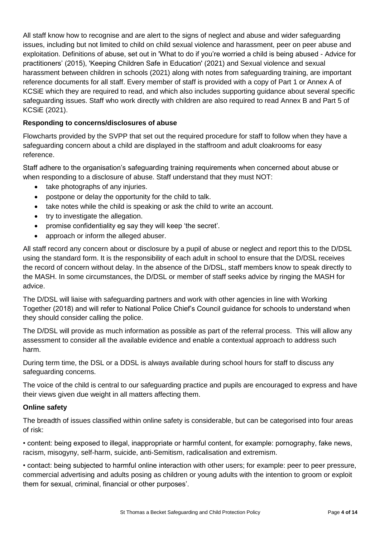All staff know how to recognise and are alert to the signs of neglect and abuse and wider safeguarding issues, including but not limited to child on child sexual violence and harassment, peer on peer abuse and exploitation. Definitions of abuse, set out in 'What to do if you're worried a child is being abused - Advice for practitioners' (2015), 'Keeping Children Safe in Education' (2021) and Sexual violence and sexual harassment between children in schools (2021) along with notes from safeguarding training, are important reference documents for all staff. Every member of staff is provided with a copy of Part 1 or Annex A of KCSiE which they are required to read, and which also includes supporting guidance about several specific safeguarding issues. Staff who work directly with children are also required to read Annex B and Part 5 of KCSiE (2021).

### **Responding to concerns/disclosures of abuse**

Flowcharts provided by the SVPP that set out the required procedure for staff to follow when they have a safeguarding concern about a child are displayed in the staffroom and adult cloakrooms for easy reference.

Staff adhere to the organisation's safeguarding training requirements when concerned about abuse or when responding to a disclosure of abuse. Staff understand that they must NOT:

- take photographs of any injuries.
- postpone or delay the opportunity for the child to talk.
- take notes while the child is speaking or ask the child to write an account.
- try to investigate the allegation.
- promise confidentiality eg say they will keep 'the secret'.
- approach or inform the alleged abuser.

All staff record any concern about or disclosure by a pupil of abuse or neglect and report this to the D/DSL using the standard form. It is the responsibility of each adult in school to ensure that the D/DSL receives the record of concern without delay. In the absence of the D/DSL, staff members know to speak directly to the MASH. In some circumstances, the D/DSL or member of staff seeks advice by ringing the MASH for advice.

The D/DSL will liaise with safeguarding partners and work with other agencies in line with Working Together (2018) and will refer to National Police Chief's Council guidance for schools to understand when they should consider calling the police.

The D/DSL will provide as much information as possible as part of the referral process. This will allow any assessment to consider all the available evidence and enable a contextual approach to address such harm.

During term time, the DSL or a DDSL is always available during school hours for staff to discuss any safeguarding concerns.

The voice of the child is central to our safeguarding practice and pupils are encouraged to express and have their views given due weight in all matters affecting them.

#### **Online safety**

The breadth of issues classified within online safety is considerable, but can be categorised into four areas of risk:

• content: being exposed to illegal, inappropriate or harmful content, for example: pornography, fake news, racism, misogyny, self-harm, suicide, anti-Semitism, radicalisation and extremism.

• contact: being subjected to harmful online interaction with other users; for example: peer to peer pressure, commercial advertising and adults posing as children or young adults with the intention to groom or exploit them for sexual, criminal, financial or other purposes'.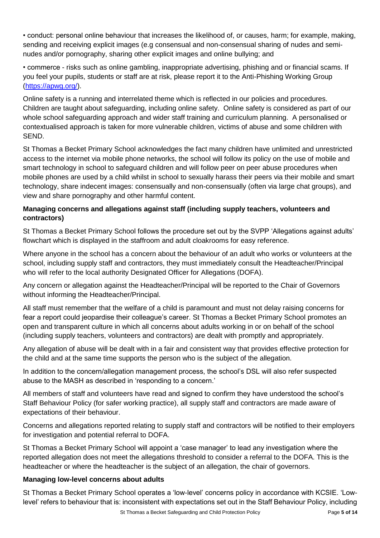• conduct: personal online behaviour that increases the likelihood of, or causes, harm; for example, making, sending and receiving explicit images (e.g consensual and non-consensual sharing of nudes and seminudes and/or pornography, sharing other explicit images and online bullying; and

• commerce - risks such as online gambling, inappropriate advertising, phishing and or financial scams. If you feel your pupils, students or staff are at risk, please report it to the Anti-Phishing Working Group [\(https://apwg.org/\)](https://apwg.org/).

Online safety is a running and interrelated theme which is reflected in our policies and procedures. Children are taught about safeguarding, including online safety. Online safety is considered as part of our whole school safeguarding approach and wider staff training and curriculum planning. A personalised or contextualised approach is taken for more vulnerable children, victims of abuse and some children with SEND.

St Thomas a Becket Primary School acknowledges the fact many children have unlimited and unrestricted access to the internet via mobile phone networks, the school will follow its policy on the use of mobile and smart technology in school to safeguard children and will follow peer on peer abuse procedures when mobile phones are used by a child whilst in school to sexually harass their peers via their mobile and smart technology, share indecent images: consensually and non-consensually (often via large chat groups), and view and share pornography and other harmful content.

## **Managing concerns and allegations against staff (including supply teachers, volunteers and contractors)**

St Thomas a Becket Primary School follows the procedure set out by the SVPP 'Allegations against adults' flowchart which is displayed in the staffroom and adult cloakrooms for easy reference.

Where anyone in the school has a concern about the behaviour of an adult who works or volunteers at the school, including supply staff and contractors, they must immediately consult the Headteacher/Principal who will refer to the local authority Designated Officer for Allegations (DOFA).

Any concern or allegation against the Headteacher/Principal will be reported to the Chair of Governors without informing the Headteacher/Principal.

All staff must remember that the welfare of a child is paramount and must not delay raising concerns for fear a report could jeopardise their colleague's career. St Thomas a Becket Primary School promotes an open and transparent culture in which all concerns about adults working in or on behalf of the school (including supply teachers, volunteers and contractors) are dealt with promptly and appropriately.

Any allegation of abuse will be dealt with in a fair and consistent way that provides effective protection for the child and at the same time supports the person who is the subject of the allegation.

In addition to the concern/allegation management process, the school's DSL will also refer suspected abuse to the MASH as described in 'responding to a concern.'

All members of staff and volunteers have read and signed to confirm they have understood the school's Staff Behaviour Policy (for safer working practice), all supply staff and contractors are made aware of expectations of their behaviour.

Concerns and allegations reported relating to supply staff and contractors will be notified to their employers for investigation and potential referral to DOFA.

St Thomas a Becket Primary School will appoint a 'case manager' to lead any investigation where the reported allegation does not meet the allegations threshold to consider a referral to the DOFA. This is the headteacher or where the headteacher is the subject of an allegation, the chair of governors.

## **Managing low-level concerns about adults**

St Thomas a Becket Primary School operates a 'low-level' concerns policy in accordance with KCSIE. 'Lowlevel' refers to behaviour that is: inconsistent with expectations set out in the Staff Behaviour Policy, including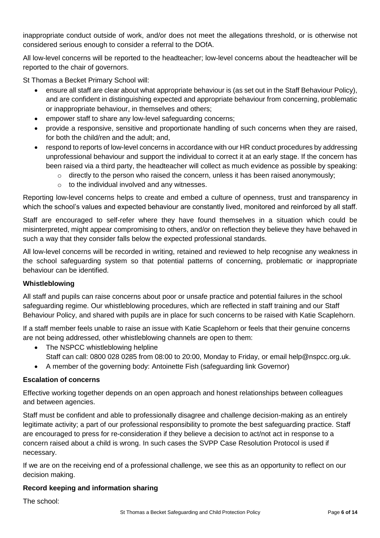inappropriate conduct outside of work, and/or does not meet the allegations threshold, or is otherwise not considered serious enough to consider a referral to the DOfA.

All low-level concerns will be reported to the headteacher; low-level concerns about the headteacher will be reported to the chair of governors.

St Thomas a Becket Primary School will:

- ensure all staff are clear about what appropriate behaviour is (as set out in the Staff Behaviour Policy), and are confident in distinguishing expected and appropriate behaviour from concerning, problematic or inappropriate behaviour, in themselves and others;
- empower staff to share any low-level safeguarding concerns;
- provide a responsive, sensitive and proportionate handling of such concerns when they are raised, for both the child/ren and the adult; and,
- respond to reports of low-level concerns in accordance with our HR conduct procedures by addressing unprofessional behaviour and support the individual to correct it at an early stage. If the concern has been raised via a third party, the headteacher will collect as much evidence as possible by speaking:
	- $\circ$  directly to the person who raised the concern, unless it has been raised anonymously;
	- o to the individual involved and any witnesses.

Reporting low-level concerns helps to create and embed a culture of openness, trust and transparency in which the school's values and expected behaviour are constantly lived, monitored and reinforced by all staff.

Staff are encouraged to self-refer where they have found themselves in a situation which could be misinterpreted, might appear compromising to others, and/or on reflection they believe they have behaved in such a way that they consider falls below the expected professional standards.

All low-level concerns will be recorded in writing, retained and reviewed to help recognise any weakness in the school safeguarding system so that potential patterns of concerning, problematic or inappropriate behaviour can be identified.

#### **Whistleblowing**

All staff and pupils can raise concerns about poor or unsafe practice and potential failures in the school safeguarding regime. Our whistleblowing procedures, which are reflected in staff training and our Staff Behaviour Policy, and shared with pupils are in place for such concerns to be raised with Katie Scaplehorn.

If a staff member feels unable to raise an issue with Katie Scaplehorn or feels that their genuine concerns are not being addressed, other whistleblowing channels are open to them:

- The NSPCC whistleblowing helpline
	- Staff can call: 0800 028 0285 from 08:00 to 20:00, Monday to Friday, or email help@nspcc.org.uk.
- A member of the governing body: Antoinette Fish (safeguarding link Governor)

#### **Escalation of concerns**

Effective working together depends on an open approach and honest relationships between colleagues and between agencies.

Staff must be confident and able to professionally disagree and challenge decision-making as an entirely legitimate activity; a part of our professional responsibility to promote the best safeguarding practice. Staff are encouraged to press for re-consideration if they believe a decision to act/not act in response to a concern raised about a child is wrong. In such cases the SVPP Case Resolution Protocol is used if necessary.

If we are on the receiving end of a professional challenge, we see this as an opportunity to reflect on our decision making.

## **Record keeping and information sharing**

The school: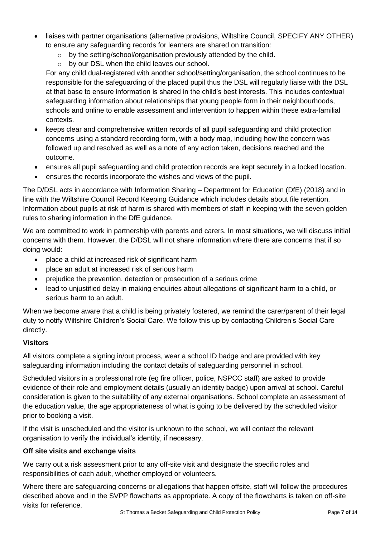- liaises with partner organisations (alternative provisions, Wiltshire Council, SPECIFY ANY OTHER) to ensure any safeguarding records for learners are shared on transition:
	- o by the setting/school/organisation previously attended by the child.
	- o by our DSL when the child leaves our school.

For any child dual-registered with another school/setting/organisation, the school continues to be responsible for the safeguarding of the placed pupil thus the DSL will regularly liaise with the DSL at that base to ensure information is shared in the child's best interests. This includes contextual safeguarding information about relationships that young people form in their neighbourhoods, schools and online to enable assessment and intervention to happen within these extra-familial contexts.

- keeps clear and comprehensive written records of all pupil safeguarding and child protection concerns using a standard recording form, with a body map, including how the concern was followed up and resolved as well as a note of any action taken, decisions reached and the outcome.
- ensures all pupil safeguarding and child protection records are kept securely in a locked location.
- ensures the records incorporate the wishes and views of the pupil.

The D/DSL acts in accordance with Information Sharing – Department for Education (DfE) (2018) and in line with the Wiltshire Council Record Keeping Guidance which includes details about file retention. Information about pupils at risk of harm is shared with members of staff in keeping with the seven golden rules to sharing information in the DfE guidance.

We are committed to work in partnership with parents and carers. In most situations, we will discuss initial concerns with them. However, the D/DSL will not share information where there are concerns that if so doing would:

- place a child at increased risk of significant harm
- place an adult at increased risk of serious harm
- prejudice the prevention, detection or prosecution of a serious crime
- lead to unjustified delay in making enquiries about allegations of significant harm to a child, or serious harm to an adult.

When we become aware that a child is being privately fostered, we remind the carer/parent of their legal duty to notify Wiltshire Children's Social Care. We follow this up by contacting Children's Social Care directly.

## **Visitors**

All visitors complete a signing in/out process, wear a school ID badge and are provided with key safeguarding information including the contact details of safeguarding personnel in school.

Scheduled visitors in a professional role (eg fire officer, police, NSPCC staff) are asked to provide evidence of their role and employment details (usually an identity badge) upon arrival at school. Careful consideration is given to the suitability of any external organisations. School complete an assessment of the education value, the age appropriateness of what is going to be delivered by the scheduled visitor prior to booking a visit.

If the visit is unscheduled and the visitor is unknown to the school, we will contact the relevant organisation to verify the individual's identity, if necessary.

## **Off site visits and exchange visits**

We carry out a risk assessment prior to any off-site visit and designate the specific roles and responsibilities of each adult, whether employed or volunteers.

Where there are safeguarding concerns or allegations that happen offsite, staff will follow the procedures described above and in the SVPP flowcharts as appropriate. A copy of the flowcharts is taken on off-site visits for reference.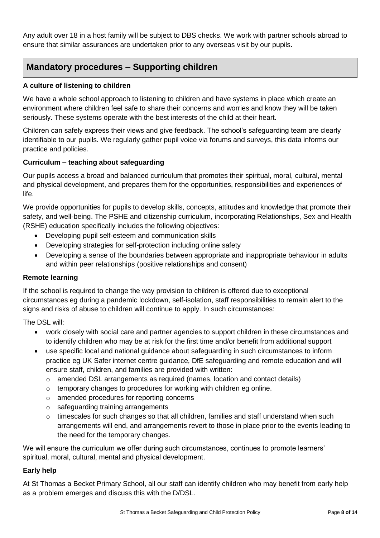Any adult over 18 in a host family will be subject to DBS checks. We work with partner schools abroad to ensure that similar assurances are undertaken prior to any overseas visit by our pupils.

# **Mandatory procedures – Supporting children**

## **A culture of listening to children**

We have a whole school approach to listening to children and have systems in place which create an environment where children feel safe to share their concerns and worries and know they will be taken seriously. These systems operate with the best interests of the child at their heart.

Children can safely express their views and give feedback. The school's safeguarding team are clearly identifiable to our pupils. We regularly gather pupil voice via forums and surveys, this data informs our practice and policies.

## **Curriculum – teaching about safeguarding**

Our pupils access a broad and balanced curriculum that promotes their spiritual, moral, cultural, mental and physical development, and prepares them for the opportunities, responsibilities and experiences of life.

We provide opportunities for pupils to develop skills, concepts, attitudes and knowledge that promote their safety, and well-being. The PSHE and citizenship curriculum, incorporating Relationships, Sex and Health (RSHE) education specifically includes the following objectives:

- Developing pupil self-esteem and communication skills
- Developing strategies for self-protection including online safety
- Developing a sense of the boundaries between appropriate and inappropriate behaviour in adults and within peer relationships (positive relationships and consent)

#### **Remote learning**

If the school is required to change the way provision to children is offered due to exceptional circumstances eg during a pandemic lockdown, self-isolation, staff responsibilities to remain alert to the signs and risks of abuse to children will continue to apply. In such circumstances:

The DSL will:

- work closely with social care and partner agencies to support children in these circumstances and to identify children who may be at risk for the first time and/or benefit from additional support
- use specific local and national guidance about safeguarding in such circumstances to inform practice eg UK Safer internet centre guidance, DfE safeguarding and remote education and will ensure staff, children, and families are provided with written:
	- $\circ$  amended DSL arrangements as required (names, location and contact details)
	- o temporary changes to procedures for working with children eg online.
	- o amended procedures for reporting concerns
	- o safeguarding training arrangements
	- $\circ$  timescales for such changes so that all children, families and staff understand when such arrangements will end, and arrangements revert to those in place prior to the events leading to the need for the temporary changes.

We will ensure the curriculum we offer during such circumstances, continues to promote learners' spiritual, moral, cultural, mental and physical development.

## **Early help**

At St Thomas a Becket Primary School, all our staff can identify children who may benefit from early help as a problem emerges and discuss this with the D/DSL.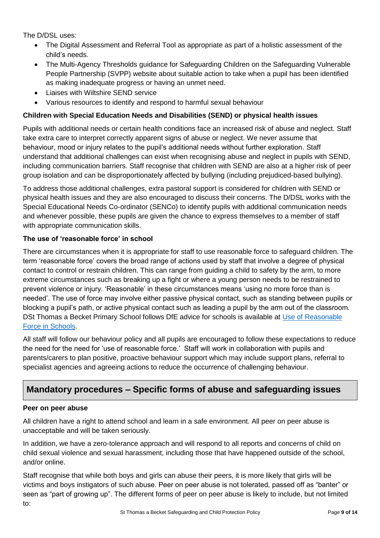The D/DSL uses:

- The Digital Assessment and Referral Tool as appropriate as part of a holistic assessment of the child's needs.
- The Multi-Agency Thresholds guidance for Safeguarding Children on the Safeguarding Vulnerable People Partnership (SVPP) website about suitable action to take when a pupil has been identified as making inadequate progress or having an unmet need.
- Liaises with Wiltshire SEND service
- Various resources to identify and respond to harmful sexual behaviour

## **Children with Special Education Needs and Disabilities (SEND) or physical health issues**

Pupils with additional needs or certain health conditions face an increased risk of abuse and neglect. Staff take extra care to interpret correctly apparent signs of abuse or neglect. We never assume that behaviour, mood or injury relates to the pupil's additional needs without further exploration. Staff understand that additional challenges can exist when recognising abuse and neglect in pupils with SEND, including communication barriers. Staff recognise that children with SEND are also at a higher risk of peer group isolation and can be disproportionately affected by bullying (including prejudiced-based bullying).

To address those additional challenges, extra pastoral support is considered for children with SEND or physical health issues and they are also encouraged to discuss their concerns. The D/DSL works with the Special Educational Needs Co-ordinator (SENCo) to identify pupils with additional communication needs and whenever possible, these pupils are given the chance to express themselves to a member of staff with appropriate communication skills.

## **The use of 'reasonable force' in school**

There are circumstances when it is appropriate for staff to use reasonable force to safeguard children. The term 'reasonable force' covers the broad range of actions used by staff that involve a degree of physical contact to control or restrain children. This can range from guiding a child to safety by the arm, to more extreme circumstances such as breaking up a fight or where a young person needs to be restrained to prevent violence or injury. 'Reasonable' in these circumstances means 'using no more force than is needed'. The use of force may involve either passive physical contact, such as standing between pupils or blocking a pupil's path, or active physical contact such as leading a pupil by the arm out of the classroom. DSt Thomas a Becket Primary School follows DfE advice for schools is available at Use of Reasonable [Force in Schools.](https://assets.publishing.service.gov.uk/government/uploads/system/uploads/attachment_data/file/444051/Use_of_reasonable_force_advice_Reviewed_July_2015.pdf)

All staff will follow our behaviour policy and all pupils are encouraged to follow these expectations to reduce the need for the need for 'use of reasonable force.' Staff will work in collaboration with pupils and parents/carers to plan positive, proactive behaviour support which may include support plans, referral to specialist agencies and agreeing actions to reduce the occurrence of challenging behaviour.

# **Mandatory procedures – Specific forms of abuse and safeguarding issues**

#### **Peer on peer abuse**

All children have a right to attend school and learn in a safe environment. All peer on peer abuse is unacceptable and will be taken seriously.

In addition, we have a zero-tolerance approach and will respond to all reports and concerns of child on child sexual violence and sexual harassment, including those that have happened outside of the school, and/or online.

Staff recognise that while both boys and girls can abuse their peers, it is more likely that girls will be victims and boys instigators of such abuse. Peer on peer abuse is not tolerated, passed off as "banter" or seen as "part of growing up". The different forms of peer on peer abuse is likely to include, but not limited to: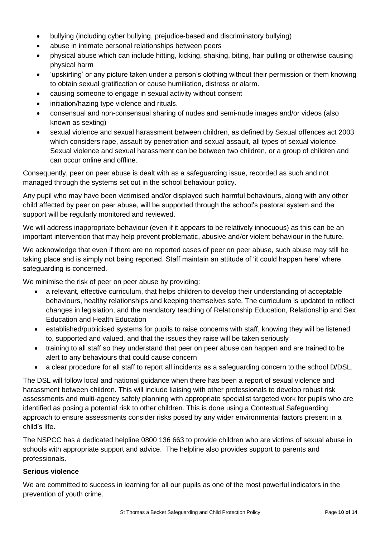- bullying (including cyber bullying, prejudice-based and discriminatory bullying)
- abuse in intimate personal relationships between peers
- physical abuse which can include hitting, kicking, shaking, biting, hair pulling or otherwise causing physical harm
- 'upskirting' or any picture taken under a person's clothing without their permission or them knowing to obtain sexual gratification or cause humiliation, distress or alarm.
- causing someone to engage in sexual activity without consent
- initiation/hazing type violence and rituals.
- consensual and non-consensual sharing of nudes and semi-nude images and/or videos (also known as sexting)
- sexual violence and sexual harassment between children, as defined by Sexual offences act 2003 which considers rape, assault by penetration and sexual assault, all types of sexual violence. Sexual violence and sexual harassment can be between two children, or a group of children and can occur online and offline.

Consequently, peer on peer abuse is dealt with as a safeguarding issue, recorded as such and not managed through the systems set out in the school behaviour policy.

Any pupil who may have been victimised and/or displayed such harmful behaviours, along with any other child affected by peer on peer abuse, will be supported through the school's pastoral system and the support will be regularly monitored and reviewed.

We will address inappropriate behaviour (even if it appears to be relatively innocuous) as this can be an important intervention that may help prevent problematic, abusive and/or violent behaviour in the future.

We acknowledge that even if there are no reported cases of peer on peer abuse, such abuse may still be taking place and is simply not being reported. Staff maintain an attitude of 'it could happen here' where safeguarding is concerned.

We minimise the risk of peer on peer abuse by providing:

- a relevant, effective curriculum, that helps children to develop their understanding of acceptable behaviours, healthy relationships and keeping themselves safe. The curriculum is updated to reflect changes in legislation, and the mandatory teaching of Relationship Education, Relationship and Sex Education and Health Education
- established/publicised systems for pupils to raise concerns with staff, knowing they will be listened to, supported and valued, and that the issues they raise will be taken seriously
- training to all staff so they understand that peer on peer abuse can happen and are trained to be alert to any behaviours that could cause concern
- a clear procedure for all staff to report all incidents as a safeguarding concern to the school D/DSL.

The DSL will follow local and national guidance when there has been a report of sexual violence and harassment between children. This will include liaising with other professionals to develop robust risk assessments and multi-agency safety planning with appropriate specialist targeted work for pupils who are identified as posing a potential risk to other children. This is done using a Contextual Safeguarding approach to ensure assessments consider risks posed by any wider environmental factors present in a child's life.

The NSPCC has a dedicated helpline 0800 136 663 to provide children who are victims of sexual abuse in schools with appropriate support and advice. The helpline also provides support to parents and professionals.

#### **Serious violence**

We are committed to success in learning for all our pupils as one of the most powerful indicators in the prevention of youth crime.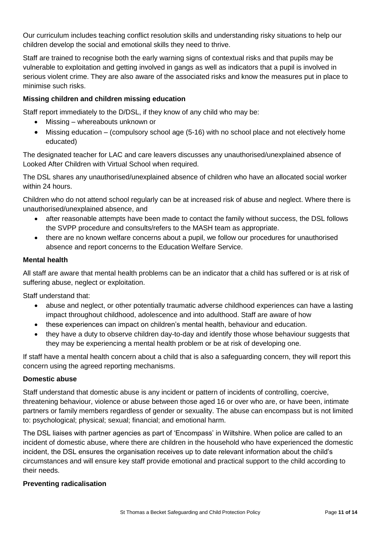Our curriculum includes teaching conflict resolution skills and understanding risky situations to help our children develop the social and emotional skills they need to thrive.

Staff are trained to recognise both the early warning signs of contextual risks and that pupils may be vulnerable to exploitation and getting involved in gangs as well as indicators that a pupil is involved in serious violent crime. They are also aware of the associated risks and know the measures put in place to minimise such risks.

### **Missing children and children missing education**

Staff report immediately to the D/DSL, if they know of any child who may be:

- Missing whereabouts unknown or
- Missing education (compulsory school age (5-16) with no school place and not electively home educated)

The designated teacher for LAC and care leavers discusses any unauthorised/unexplained absence of Looked After Children with Virtual School when required.

The DSL shares any unauthorised/unexplained absence of children who have an allocated social worker within 24 hours.

Children who do not attend school regularly can be at increased risk of abuse and neglect. Where there is unauthorised/unexplained absence, and

- after reasonable attempts have been made to contact the family without success, the DSL follows the SVPP procedure and consults/refers to the MASH team as appropriate.
- there are no known welfare concerns about a pupil, we follow our procedures for unauthorised absence and report concerns to the Education Welfare Service.

#### **Mental health**

All staff are aware that mental health problems can be an indicator that a child has suffered or is at risk of suffering abuse, neglect or exploitation.

Staff understand that:

- abuse and neglect, or other potentially traumatic adverse childhood experiences can have a lasting impact throughout childhood, adolescence and into adulthood. Staff are aware of how
- these experiences can impact on children's mental health, behaviour and education.
- they have a duty to observe children day-to-day and identify those whose behaviour suggests that they may be experiencing a mental health problem or be at risk of developing one.

If staff have a mental health concern about a child that is also a safeguarding concern, they will report this concern using the agreed reporting mechanisms.

#### **Domestic abuse**

Staff understand that domestic abuse is any incident or pattern of incidents of controlling, coercive, threatening behaviour, violence or abuse between those aged 16 or over who are, or have been, intimate partners or family members regardless of gender or sexuality. The abuse can encompass but is not limited to: psychological; physical; sexual; financial; and emotional harm.

The DSL liaises with partner agencies as part of 'Encompass' in Wiltshire. When police are called to an incident of domestic abuse, where there are children in the household who have experienced the domestic incident, the DSL ensures the organisation receives up to date relevant information about the child's circumstances and will ensure key staff provide emotional and practical support to the child according to their needs.

#### **Preventing radicalisation**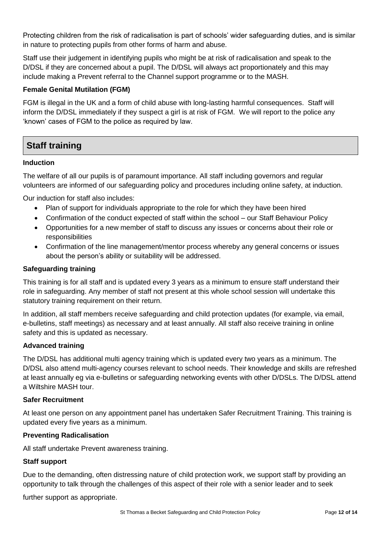Protecting children from the risk of radicalisation is part of schools' wider safeguarding duties, and is similar in nature to protecting pupils from other forms of harm and abuse.

Staff use their judgement in identifying pupils who might be at risk of radicalisation and speak to the D/DSL if they are concerned about a pupil. The D/DSL will always act proportionately and this may include making a Prevent referral to the Channel support programme or to the MASH.

#### **Female Genital Mutilation (FGM)**

FGM is illegal in the UK and a form of child abuse with long-lasting harmful consequences. Staff will inform the D/DSL immediately if they suspect a girl is at risk of FGM. We will report to the police any 'known' cases of FGM to the police as required by law.

# **Staff training**

#### **Induction**

The welfare of all our pupils is of paramount importance. All staff including governors and regular volunteers are informed of our safeguarding policy and procedures including online safety, at induction.

Our induction for staff also includes:

- Plan of support for individuals appropriate to the role for which they have been hired
- Confirmation of the conduct expected of staff within the school our Staff Behaviour Policy
- Opportunities for a new member of staff to discuss any issues or concerns about their role or responsibilities
- Confirmation of the line management/mentor process whereby any general concerns or issues about the person's ability or suitability will be addressed.

#### **Safeguarding training**

This training is for all staff and is updated every 3 years as a minimum to ensure staff understand their role in safeguarding. Any member of staff not present at this whole school session will undertake this statutory training requirement on their return.

In addition, all staff members receive safeguarding and child protection updates (for example, via email, e-bulletins, staff meetings) as necessary and at least annually. All staff also receive training in online safety and this is updated as necessary.

#### **Advanced training**

The D/DSL has additional multi agency training which is updated every two years as a minimum. The D/DSL also attend multi-agency courses relevant to school needs. Their knowledge and skills are refreshed at least annually eg via e-bulletins or safeguarding networking events with other D/DSLs. The D/DSL attend a Wiltshire MASH tour.

#### **Safer Recruitment**

At least one person on any appointment panel has undertaken Safer Recruitment Training. This training is updated every five years as a minimum.

#### **Preventing Radicalisation**

All staff undertake Prevent awareness training.

#### **Staff support**

Due to the demanding, often distressing nature of child protection work, we support staff by providing an opportunity to talk through the challenges of this aspect of their role with a senior leader and to seek

further support as appropriate.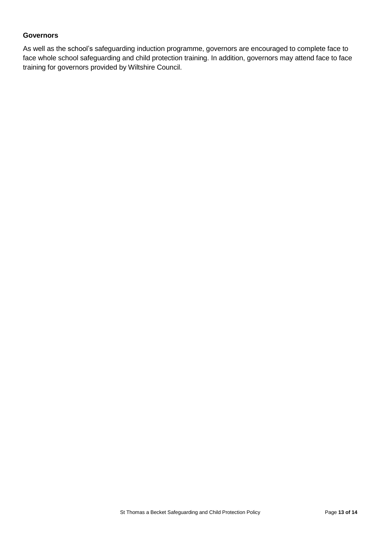#### **Governors**

As well as the school's safeguarding induction programme, governors are encouraged to complete face to face whole school safeguarding and child protection training. In addition, governors may attend face to face training for governors provided by Wiltshire Council.